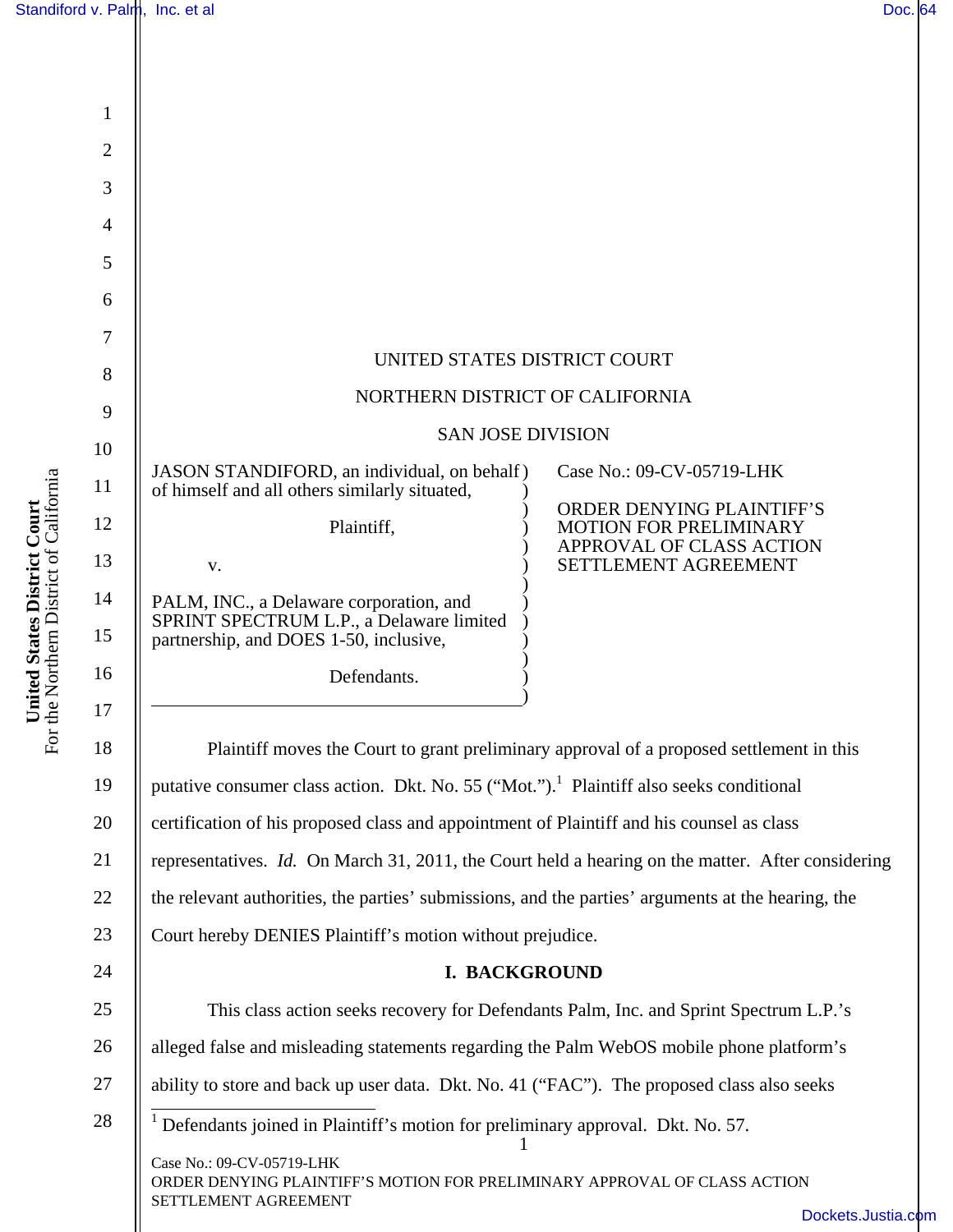| Standiford v. Palm, Inc. et al.                                                        |                |                                                                                                     | Doc. 64                                                    |
|----------------------------------------------------------------------------------------|----------------|-----------------------------------------------------------------------------------------------------|------------------------------------------------------------|
|                                                                                        |                |                                                                                                     |                                                            |
| <b>ited States District Court</b><br>Northern District of California<br>Uni<br>For the |                |                                                                                                     |                                                            |
|                                                                                        | $\mathbf{1}$   |                                                                                                     |                                                            |
|                                                                                        | $\overline{2}$ |                                                                                                     |                                                            |
|                                                                                        | 3              |                                                                                                     |                                                            |
|                                                                                        | 4<br>5         |                                                                                                     |                                                            |
|                                                                                        | 6              |                                                                                                     |                                                            |
|                                                                                        | 7              |                                                                                                     |                                                            |
|                                                                                        | 8              | UNITED STATES DISTRICT COURT                                                                        |                                                            |
|                                                                                        | 9              | NORTHERN DISTRICT OF CALIFORNIA                                                                     |                                                            |
|                                                                                        | 10             | <b>SAN JOSE DIVISION</b>                                                                            |                                                            |
|                                                                                        | 11             | JASON STANDIFORD, an individual, on behalf)<br>of himself and all others similarly situated,        | Case No.: 09-CV-05719-LHK                                  |
|                                                                                        | 12             | Plaintiff,                                                                                          | ORDER DENYING PLAINTIFF'S<br><b>MOTION FOR PRELIMINARY</b> |
|                                                                                        | 13             | V.                                                                                                  | APPROVAL OF CLASS ACTION<br>SETTLEMENT AGREEMENT           |
|                                                                                        | 14             | PALM, INC., a Delaware corporation, and                                                             |                                                            |
|                                                                                        | 15             | SPRINT SPECTRUM L.P., a Delaware limited<br>partnership, and DOES 1-50, inclusive,                  |                                                            |
|                                                                                        | 16             | Defendants.                                                                                         |                                                            |
|                                                                                        | 17             |                                                                                                     |                                                            |
|                                                                                        | 18             | Plaintiff moves the Court to grant preliminary approval of a proposed settlement in this            |                                                            |
|                                                                                        | 19             | putative consumer class action. Dkt. No. 55 ("Mot."). <sup>1</sup> Plaintiff also seeks conditional |                                                            |
|                                                                                        | 20             | certification of his proposed class and appointment of Plaintiff and his counsel as class           |                                                            |
|                                                                                        | 21             | representatives. Id. On March 31, 2011, the Court held a hearing on the matter. After considering   |                                                            |
|                                                                                        | 22             | the relevant authorities, the parties' submissions, and the parties' arguments at the hearing, the  |                                                            |
|                                                                                        | 23             | Court hereby DENIES Plaintiff's motion without prejudice.                                           |                                                            |
|                                                                                        | 24             | I. BACKGROUND                                                                                       |                                                            |
|                                                                                        | 25             | This class action seeks recovery for Defendants Palm, Inc. and Sprint Spectrum L.P.'s               |                                                            |
|                                                                                        | 26             | alleged false and misleading statements regarding the Palm WebOS mobile phone platform's            |                                                            |
|                                                                                        | 27             | ability to store and back up user data. Dkt. No. 41 ("FAC"). The proposed class also seeks          |                                                            |
|                                                                                        | 28             | Defendants joined in Plaintiff's motion for preliminary approval. Dkt. No. 57.                      |                                                            |
| Case No.: 09-CV-05719-LHK                                                              |                | ORDER DENYING PLAINTIFF'S MOTION FOR PRELIMINARY APPROVAL OF CLASS ACTION                           |                                                            |
|                                                                                        |                | SETTLEMENT AGREEMENT                                                                                | Dockets.Justia.com                                         |

com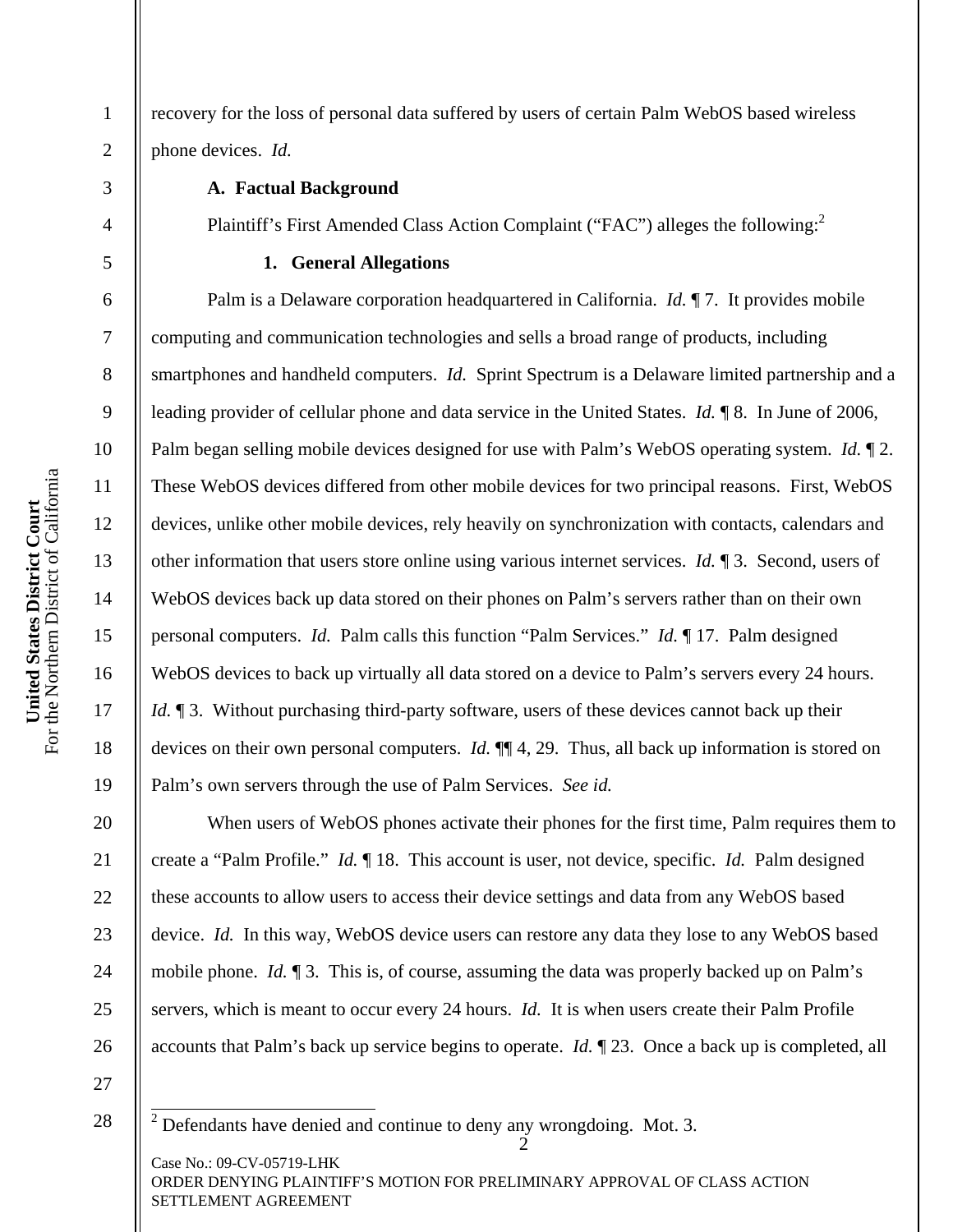recovery for the loss of personal data suffered by users of certain Palm WebOS based wireless phone devices. *Id.*

# **A. Factual Background**

Plaintiff's First Amended Class Action Complaint ("FAC") alleges the following:<sup>2</sup>

### **1. General Allegations**

Palm is a Delaware corporation headquartered in California. *Id.* ¶ 7. It provides mobile computing and communication technologies and sells a broad range of products, including smartphones and handheld computers. *Id.* Sprint Spectrum is a Delaware limited partnership and a leading provider of cellular phone and data service in the United States. *Id.* ¶ 8. In June of 2006, Palm began selling mobile devices designed for use with Palm's WebOS operating system. *Id.* ¶ 2. These WebOS devices differed from other mobile devices for two principal reasons. First, WebOS devices, unlike other mobile devices, rely heavily on synchronization with contacts, calendars and other information that users store online using various internet services. *Id.* ¶ 3. Second, users of WebOS devices back up data stored on their phones on Palm's servers rather than on their own personal computers. *Id.* Palm calls this function "Palm Services." *Id.* ¶ 17. Palm designed WebOS devices to back up virtually all data stored on a device to Palm's servers every 24 hours. *Id.*  $\P$  3. Without purchasing third-party software, users of these devices cannot back up their devices on their own personal computers. *Id.* ¶¶ 4, 29. Thus, all back up information is stored on Palm's own servers through the use of Palm Services. *See id.*

When users of WebOS phones activate their phones for the first time, Palm requires them to create a "Palm Profile." *Id.* ¶ 18. This account is user, not device, specific. *Id.* Palm designed these accounts to allow users to access their device settings and data from any WebOS based device. *Id.* In this way, WebOS device users can restore any data they lose to any WebOS based mobile phone. *Id.* ¶ 3. This is, of course, assuming the data was properly backed up on Palm's servers, which is meant to occur every 24 hours. *Id.* It is when users create their Palm Profile accounts that Palm's back up service begins to operate. *Id.* ¶ 23. Once a back up is completed, all

27 28

Case No.: 09-CV-05719-LHK ORDER DENYING PLAINTIFF'S MOTION FOR PRELIMINARY APPROVAL OF CLASS ACTION SETTLEMENT AGREEMENT

1

2

3

4

5

6

7

8

9

10

11

12

13

14

15

16

17

18

19

20

21

22

23

24

25

<sup>2</sup>  <sup>2</sup> Defendants have denied and continue to deny any wrongdoing. Mot. 3.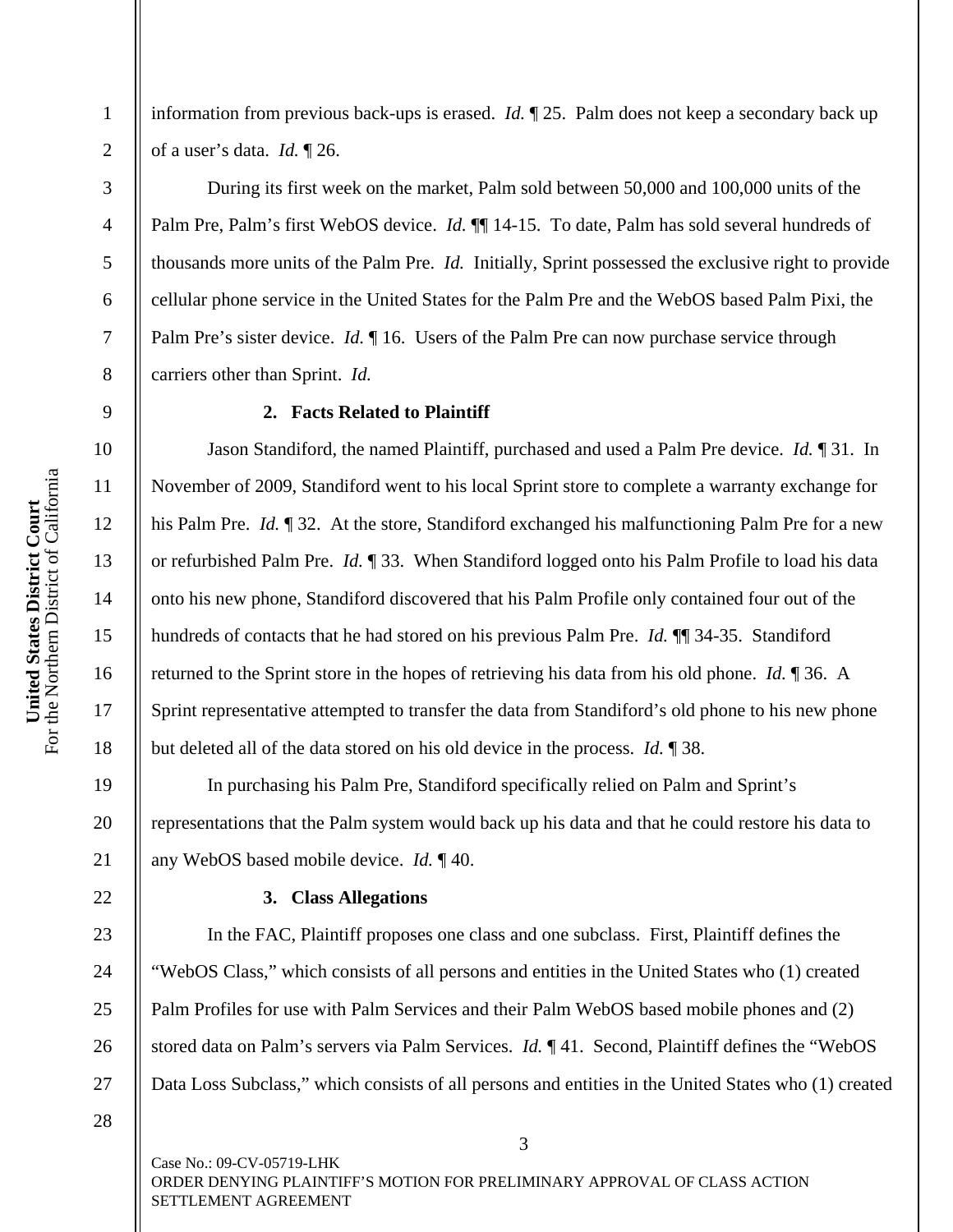2

3

4

5

6

7

8

9

10

11

12

13

14

15

16

17

18

19

20

21

22

23

24

25

26

27

information from previous back-ups is erased. *Id.* ¶ 25. Palm does not keep a secondary back up of a user's data. *Id.* ¶ 26.

During its first week on the market, Palm sold between 50,000 and 100,000 units of the Palm Pre, Palm's first WebOS device. *Id.* **[14-15.** To date, Palm has sold several hundreds of thousands more units of the Palm Pre. *Id.* Initially, Sprint possessed the exclusive right to provide cellular phone service in the United States for the Palm Pre and the WebOS based Palm Pixi, the Palm Pre's sister device. *Id.*  $\P$  16. Users of the Palm Pre can now purchase service through carriers other than Sprint. *Id.*

### **2. Facts Related to Plaintiff**

Jason Standiford, the named Plaintiff, purchased and used a Palm Pre device. *Id.* ¶ 31. In November of 2009, Standiford went to his local Sprint store to complete a warranty exchange for his Palm Pre. *Id.* ¶ 32. At the store, Standiford exchanged his malfunctioning Palm Pre for a new or refurbished Palm Pre. *Id.* ¶ 33. When Standiford logged onto his Palm Profile to load his data onto his new phone, Standiford discovered that his Palm Profile only contained four out of the hundreds of contacts that he had stored on his previous Palm Pre. *Id.* ¶¶ 34-35. Standiford returned to the Sprint store in the hopes of retrieving his data from his old phone. *Id.* ¶ 36. A Sprint representative attempted to transfer the data from Standiford's old phone to his new phone but deleted all of the data stored on his old device in the process. *Id.* ¶ 38.

In purchasing his Palm Pre, Standiford specifically relied on Palm and Sprint's representations that the Palm system would back up his data and that he could restore his data to any WebOS based mobile device. *Id.* ¶ 40.

## **3. Class Allegations**

In the FAC, Plaintiff proposes one class and one subclass. First, Plaintiff defines the "WebOS Class," which consists of all persons and entities in the United States who (1) created Palm Profiles for use with Palm Services and their Palm WebOS based mobile phones and (2) stored data on Palm's servers via Palm Services. *Id.* ¶ 41. Second, Plaintiff defines the "WebOS Data Loss Subclass," which consists of all persons and entities in the United States who (1) created

3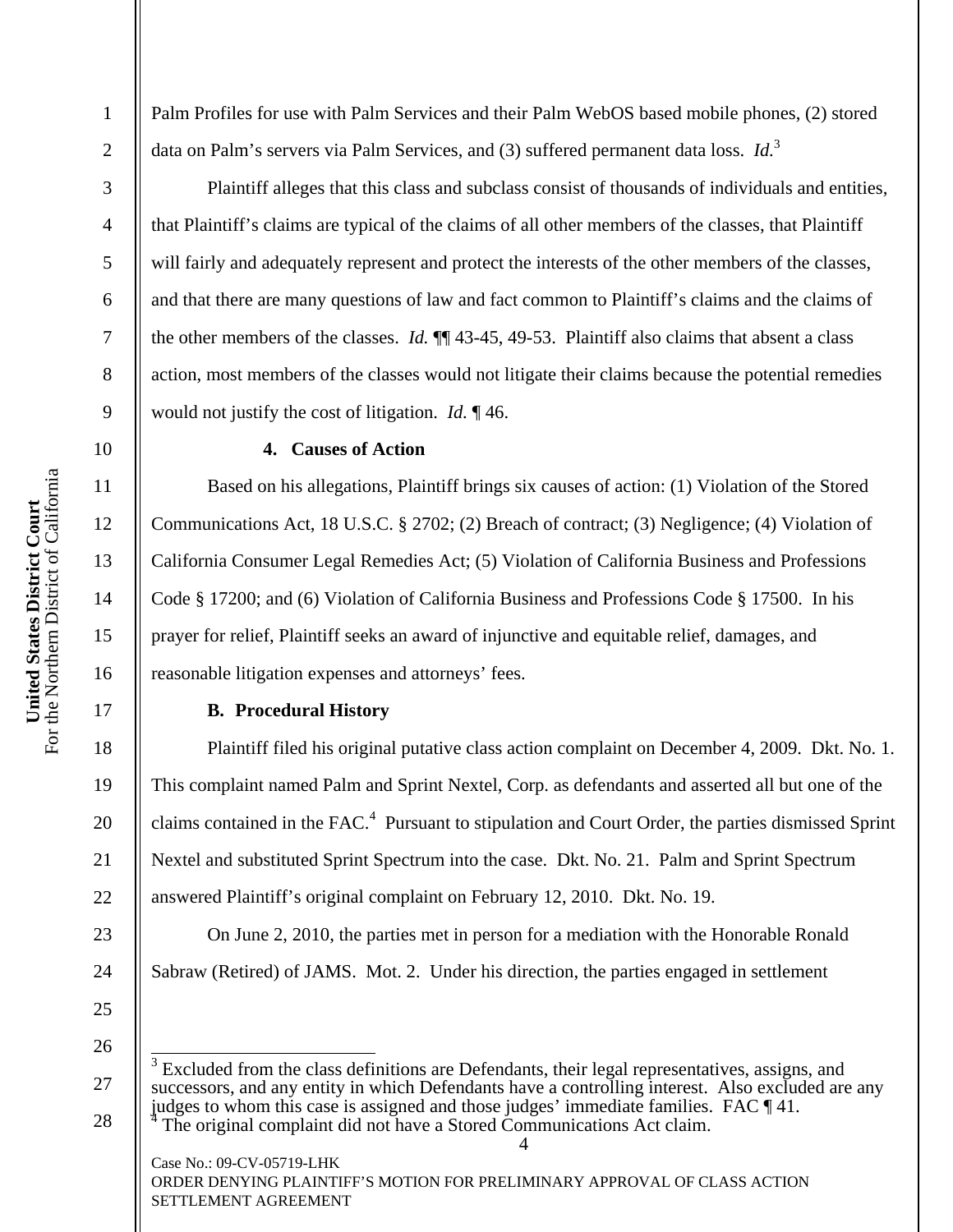Palm Profiles for use with Palm Services and their Palm WebOS based mobile phones, (2) stored data on Palm's servers via Palm Services, and (3) suffered permanent data loss. *Id.*<sup>3</sup>

Plaintiff alleges that this class and subclass consist of thousands of individuals and entities, that Plaintiff's claims are typical of the claims of all other members of the classes, that Plaintiff will fairly and adequately represent and protect the interests of the other members of the classes, and that there are many questions of law and fact common to Plaintiff's claims and the claims of the other members of the classes. *Id.* ¶¶ 43-45, 49-53. Plaintiff also claims that absent a class action, most members of the classes would not litigate their claims because the potential remedies would not justify the cost of litigation. *Id.* ¶ 46.

## **4. Causes of Action**

Based on his allegations, Plaintiff brings six causes of action: (1) Violation of the Stored Communications Act, 18 U.S.C. § 2702; (2) Breach of contract; (3) Negligence; (4) Violation of California Consumer Legal Remedies Act; (5) Violation of California Business and Professions Code § 17200; and (6) Violation of California Business and Professions Code § 17500. In his prayer for relief, Plaintiff seeks an award of injunctive and equitable relief, damages, and reasonable litigation expenses and attorneys' fees.

# **B. Procedural History**

Plaintiff filed his original putative class action complaint on December 4, 2009. Dkt. No. 1. This complaint named Palm and Sprint Nextel, Corp. as defendants and asserted all but one of the claims contained in the FAC.<sup>4</sup> Pursuant to stipulation and Court Order, the parties dismissed Sprint Nextel and substituted Sprint Spectrum into the case. Dkt. No. 21. Palm and Sprint Spectrum answered Plaintiff's original complaint on February 12, 2010. Dkt. No. 19.

On June 2, 2010, the parties met in person for a mediation with the Honorable Ronald Sabraw (Retired) of JAMS. Mot. 2. Under his direction, the parties engaged in settlement

25 26

Case No.: 09-CV-05719-LHK

ORDER DENYING PLAINTIFF'S MOTION FOR PRELIMINARY APPROVAL OF CLASS ACTION SETTLEMENT AGREEMENT

1

2

3

4

5

6

7

8

9

10

11

12

13

14

15

16

17

18

19

20

21

22

23

<sup>4</sup>  27 28  $\overline{\phantom{a}}$ 3 Excluded from the class definitions are Defendants, their legal representatives, assigns, and successors, and any entity in which Defendants have a controlling interest. Also excluded are any judges to whom this case is assigned and those judges' immediate families. FAC ¶ 41. 4 The original complaint did not have a Stored Communications Act claim.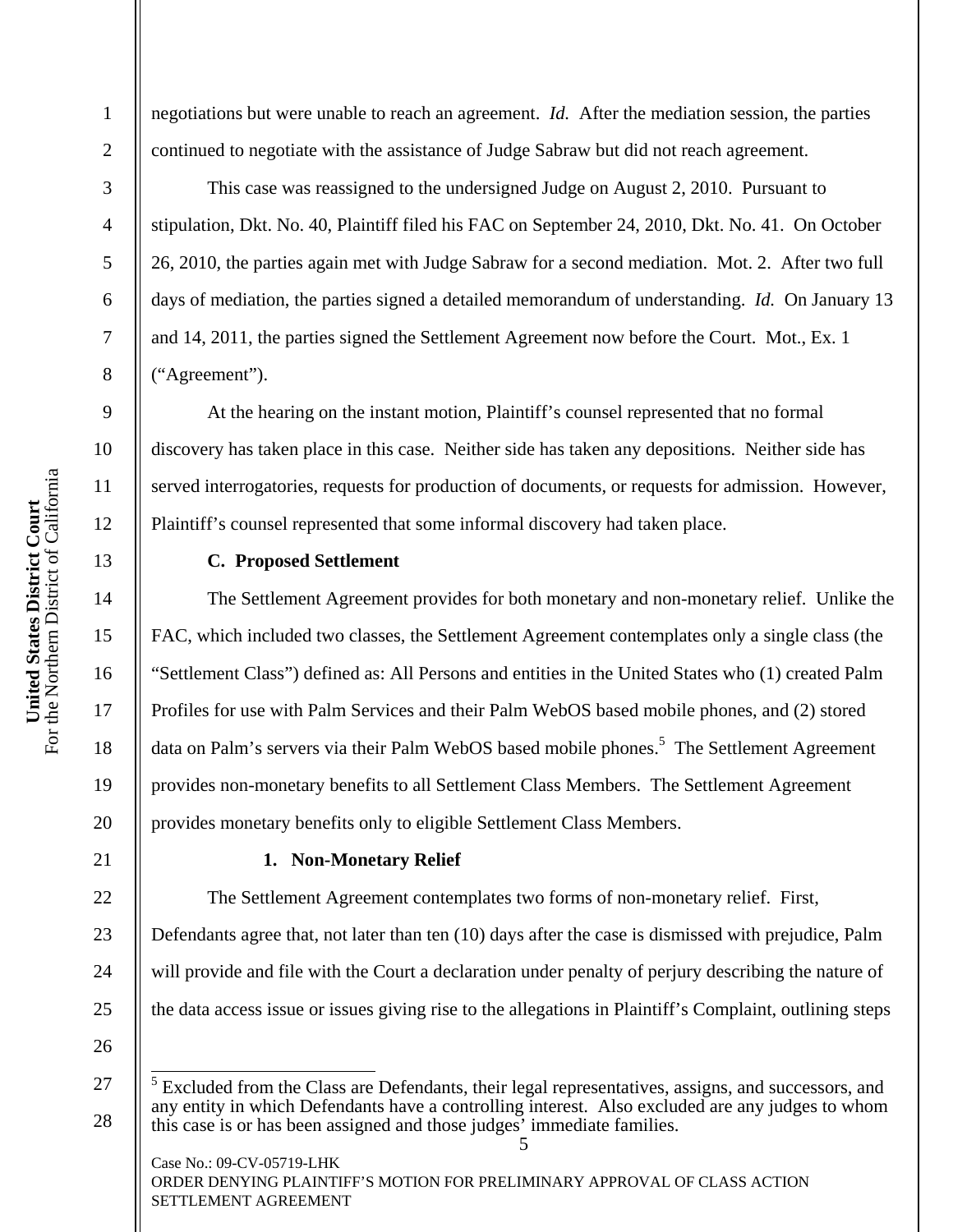2

3

4

5

6

7

8

9

10

11

12

13

14

15

16

17

18

19

20

21

22

23

24

25

negotiations but were unable to reach an agreement. *Id.* After the mediation session, the parties continued to negotiate with the assistance of Judge Sabraw but did not reach agreement.

This case was reassigned to the undersigned Judge on August 2, 2010. Pursuant to stipulation, Dkt. No. 40, Plaintiff filed his FAC on September 24, 2010, Dkt. No. 41. On October 26, 2010, the parties again met with Judge Sabraw for a second mediation. Mot. 2. After two full days of mediation, the parties signed a detailed memorandum of understanding. *Id.* On January 13 and 14, 2011, the parties signed the Settlement Agreement now before the Court. Mot., Ex. 1 ("Agreement").

At the hearing on the instant motion, Plaintiff's counsel represented that no formal discovery has taken place in this case. Neither side has taken any depositions. Neither side has served interrogatories, requests for production of documents, or requests for admission. However, Plaintiff's counsel represented that some informal discovery had taken place.

# **C. Proposed Settlement**

The Settlement Agreement provides for both monetary and non-monetary relief. Unlike the FAC, which included two classes, the Settlement Agreement contemplates only a single class (the "Settlement Class") defined as: All Persons and entities in the United States who (1) created Palm Profiles for use with Palm Services and their Palm WebOS based mobile phones, and (2) stored data on Palm's servers via their Palm WebOS based mobile phones.<sup>5</sup> The Settlement Agreement provides non-monetary benefits to all Settlement Class Members. The Settlement Agreement provides monetary benefits only to eligible Settlement Class Members.

### **1. Non-Monetary Relief**

The Settlement Agreement contemplates two forms of non-monetary relief. First,

Defendants agree that, not later than ten (10) days after the case is dismissed with prejudice, Palm will provide and file with the Court a declaration under penalty of perjury describing the nature of the data access issue or issues giving rise to the allegations in Plaintiff's Complaint, outlining steps

26

27

28

Case No.: 09-CV-05719-LHK ORDER DENYING PLAINTIFF'S MOTION FOR PRELIMINARY APPROVAL OF CLASS ACTION SETTLEMENT AGREEMENT

<sup>5</sup>  <sup>5</sup> Excluded from the Class are Defendants, their legal representatives, assigns, and successors, and any entity in which Defendants have a controlling interest. Also excluded are any judges to whom this case is or has been assigned and those judges' immediate families.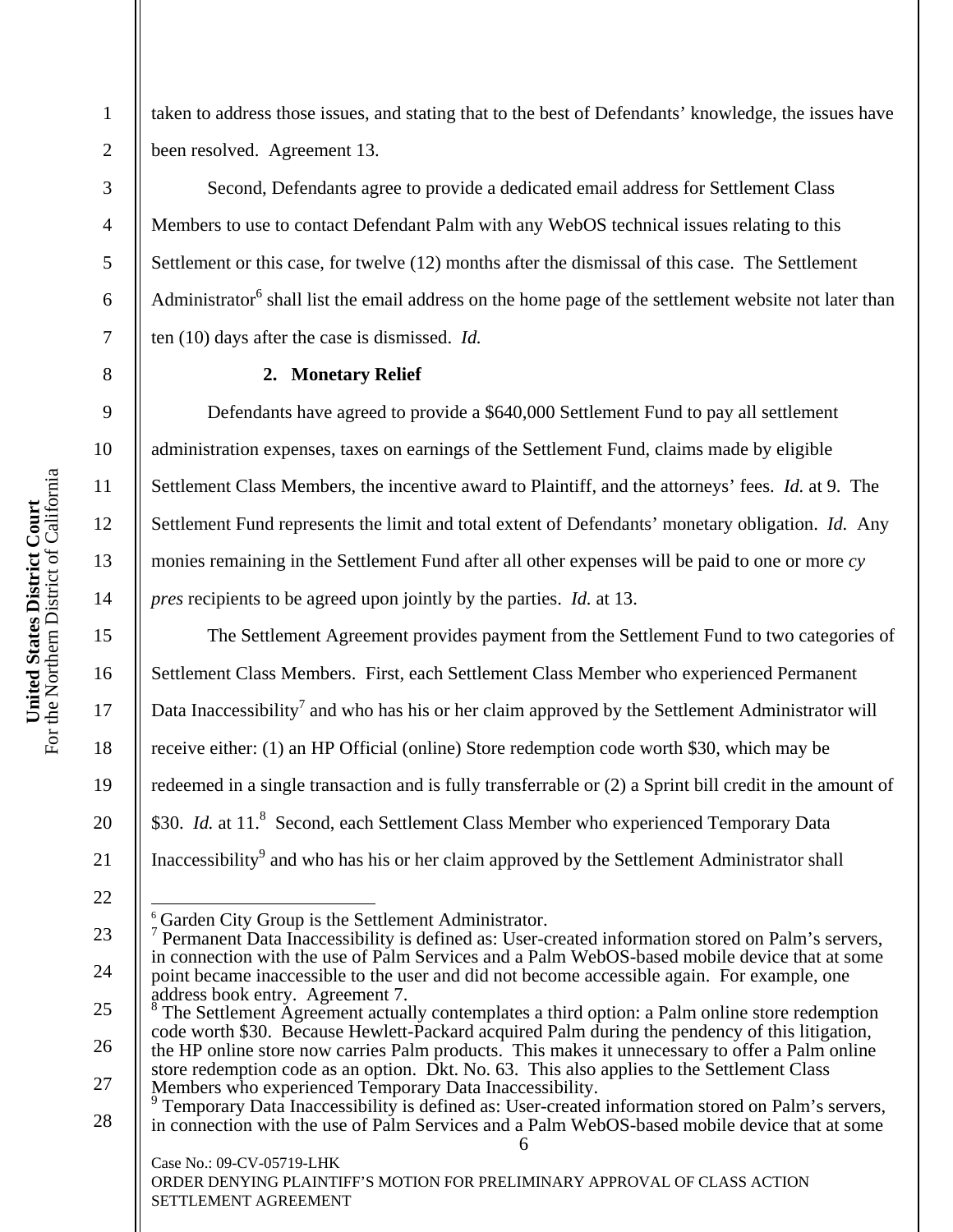1

2

3

4

5

6

7

8

9

10

11

12

13

14

15

16

17

18

19

20

21

22

taken to address those issues, and stating that to the best of Defendants' knowledge, the issues have been resolved. Agreement 13.

Second, Defendants agree to provide a dedicated email address for Settlement Class Members to use to contact Defendant Palm with any WebOS technical issues relating to this Settlement or this case, for twelve (12) months after the dismissal of this case. The Settlement Administrator<sup>6</sup> shall list the email address on the home page of the settlement website not later than ten (10) days after the case is dismissed. *Id.*

## **2. Monetary Relief**

Defendants have agreed to provide a \$640,000 Settlement Fund to pay all settlement administration expenses, taxes on earnings of the Settlement Fund, claims made by eligible Settlement Class Members, the incentive award to Plaintiff, and the attorneys' fees. *Id.* at 9. The Settlement Fund represents the limit and total extent of Defendants' monetary obligation. *Id.* Any monies remaining in the Settlement Fund after all other expenses will be paid to one or more *cy pres* recipients to be agreed upon jointly by the parties. *Id.* at 13.

The Settlement Agreement provides payment from the Settlement Fund to two categories of Settlement Class Members. First, each Settlement Class Member who experienced Permanent Data Inaccessibility<sup>7</sup> and who has his or her claim approved by the Settlement Administrator will receive either: (1) an HP Official (online) Store redemption code worth \$30, which may be redeemed in a single transaction and is fully transferrable or (2) a Sprint bill credit in the amount of \$30. *Id.* at 11.<sup>8</sup> Second, each Settlement Class Member who experienced Temporary Data Inaccessibility<sup>9</sup> and who has his or her claim approved by the Settlement Administrator shall

 $\overline{a}$  $\frac{6}{7}$  Garden City Group is the Settlement Administrator.

Case No.: 09-CV-05719-LHK

<sup>23</sup>  24 Permanent Data Inaccessibility is defined as: User-created information stored on Palm's servers, in connection with the use of Palm Services and a Palm WebOS-based mobile device that at some point became inaccessible to the user and did not become accessible again. For example, one address book entry. Agreement 7.<br><sup>8</sup> The Settlement Agreement ectual

<sup>25</sup>  26 27 The Settlement Agreement actually contemplates a third option: a Palm online store redemption code worth \$30. Because Hewlett-Packard acquired Palm during the pendency of this litigation, the HP online store now carries Palm products. This makes it unnecessary to offer a Palm online store redemption code as an option. Dkt. No. 63. This also applies to the Settlement Class Members who experienced Temporary Data Inaccessibility.<br><sup>9</sup> Temporary Data Inaccessibility is defined as: User created

<sup>6</sup>  28 Temporary Data Inaccessibility is defined as: User-created information stored on Palm's servers, in connection with the use of Palm Services and a Palm WebOS-based mobile device that at some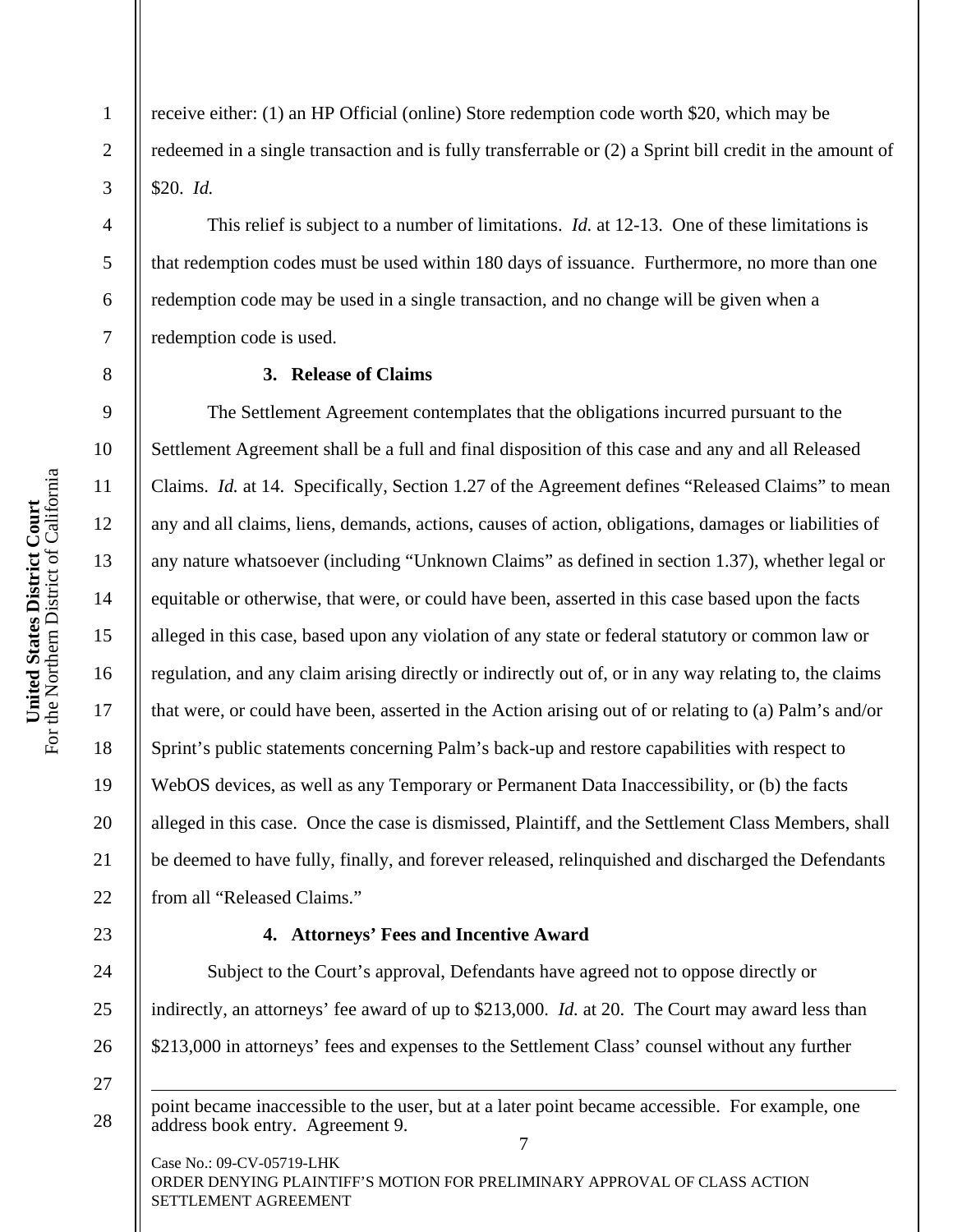1

2

3

4

5

6

7

8

9

10

11

12

13

14

15

16

17

18

19

20

21

22

23

24

25

26

27

 $\overline{a}$ 

28

receive either: (1) an HP Official (online) Store redemption code worth \$20, which may be redeemed in a single transaction and is fully transferrable or (2) a Sprint bill credit in the amount of \$20. *Id.*

This relief is subject to a number of limitations. *Id.* at 12-13. One of these limitations is that redemption codes must be used within 180 days of issuance. Furthermore, no more than one redemption code may be used in a single transaction, and no change will be given when a redemption code is used.

## **3. Release of Claims**

The Settlement Agreement contemplates that the obligations incurred pursuant to the Settlement Agreement shall be a full and final disposition of this case and any and all Released Claims. *Id.* at 14. Specifically, Section 1.27 of the Agreement defines "Released Claims" to mean any and all claims, liens, demands, actions, causes of action, obligations, damages or liabilities of any nature whatsoever (including "Unknown Claims" as defined in section 1.37), whether legal or equitable or otherwise, that were, or could have been, asserted in this case based upon the facts alleged in this case, based upon any violation of any state or federal statutory or common law or regulation, and any claim arising directly or indirectly out of, or in any way relating to, the claims that were, or could have been, asserted in the Action arising out of or relating to (a) Palm's and/or Sprint's public statements concerning Palm's back-up and restore capabilities with respect to WebOS devices, as well as any Temporary or Permanent Data Inaccessibility, or (b) the facts alleged in this case. Once the case is dismissed, Plaintiff, and the Settlement Class Members, shall be deemed to have fully, finally, and forever released, relinquished and discharged the Defendants from all "Released Claims."

# **4. Attorneys' Fees and Incentive Award**

Subject to the Court's approval, Defendants have agreed not to oppose directly or indirectly, an attorneys' fee award of up to \$213,000. *Id.* at 20. The Court may award less than \$213,000 in attorneys' fees and expenses to the Settlement Class' counsel without any further

7 point became inaccessible to the user, but at a later point became accessible. For example, one address book entry. Agreement 9.

Case No.: 09-CV-05719-LHK ORDER DENYING PLAINTIFF'S MOTION FOR PRELIMINARY APPROVAL OF CLASS ACTION SETTLEMENT AGREEMENT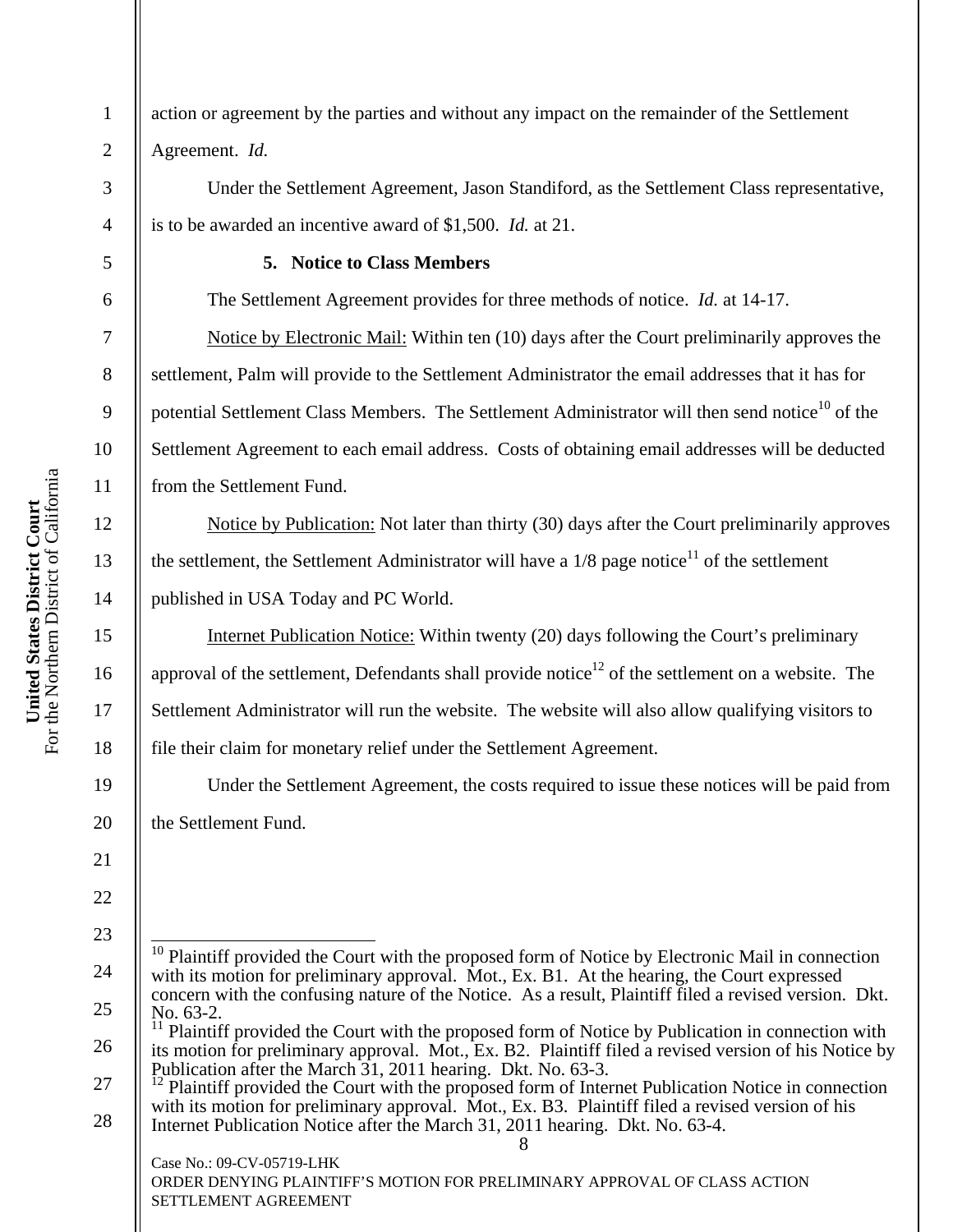action or agreement by the parties and without any impact on the remainder of the Settlement Agreement. *Id.*

Under the Settlement Agreement, Jason Standiford, as the Settlement Class representative, is to be awarded an incentive award of \$1,500. *Id.* at 21.

# **5. Notice to Class Members**

The Settlement Agreement provides for three methods of notice. *Id.* at 14-17.

Notice by Electronic Mail: Within ten (10) days after the Court preliminarily approves the settlement, Palm will provide to the Settlement Administrator the email addresses that it has for potential Settlement Class Members. The Settlement Administrator will then send notice<sup>10</sup> of the Settlement Agreement to each email address. Costs of obtaining email addresses will be deducted from the Settlement Fund.

Notice by Publication: Not later than thirty (30) days after the Court preliminarily approves the settlement, the Settlement Administrator will have a  $1/8$  page notice<sup>11</sup> of the settlement published in USA Today and PC World.

Internet Publication Notice: Within twenty (20) days following the Court's preliminary approval of the settlement, Defendants shall provide notice<sup>12</sup> of the settlement on a website. The Settlement Administrator will run the website. The website will also allow qualifying visitors to file their claim for monetary relief under the Settlement Agreement.

Under the Settlement Agreement, the costs required to issue these notices will be paid from the Settlement Fund.

8

Case No.: 09-CV-05719-LHK

 $\overline{\phantom{a}}$ 10 Plaintiff provided the Court with the proposed form of Notice by Electronic Mail in connection with its motion for preliminary approval. Mot., Ex. B1. At the hearing, the Court expressed concern with the confusing nature of the Notice. As a result, Plaintiff filed a revised version. Dkt. No.  $63-2$ .

Plaintiff provided the Court with the proposed form of Notice by Publication in connection with its motion for preliminary approval. Mot., Ex. B2. Plaintiff filed a revised version of his Notice by Publication after the March 31, 2011 hearing. Dkt. No. 63-3.

Plaintiff provided the Court with the proposed form of Internet Publication Notice in connection with its motion for preliminary approval. Mot., Ex. B3. Plaintiff filed a revised version of his Internet Publication Notice after the March 31, 2011 hearing. Dkt. No. 63-4.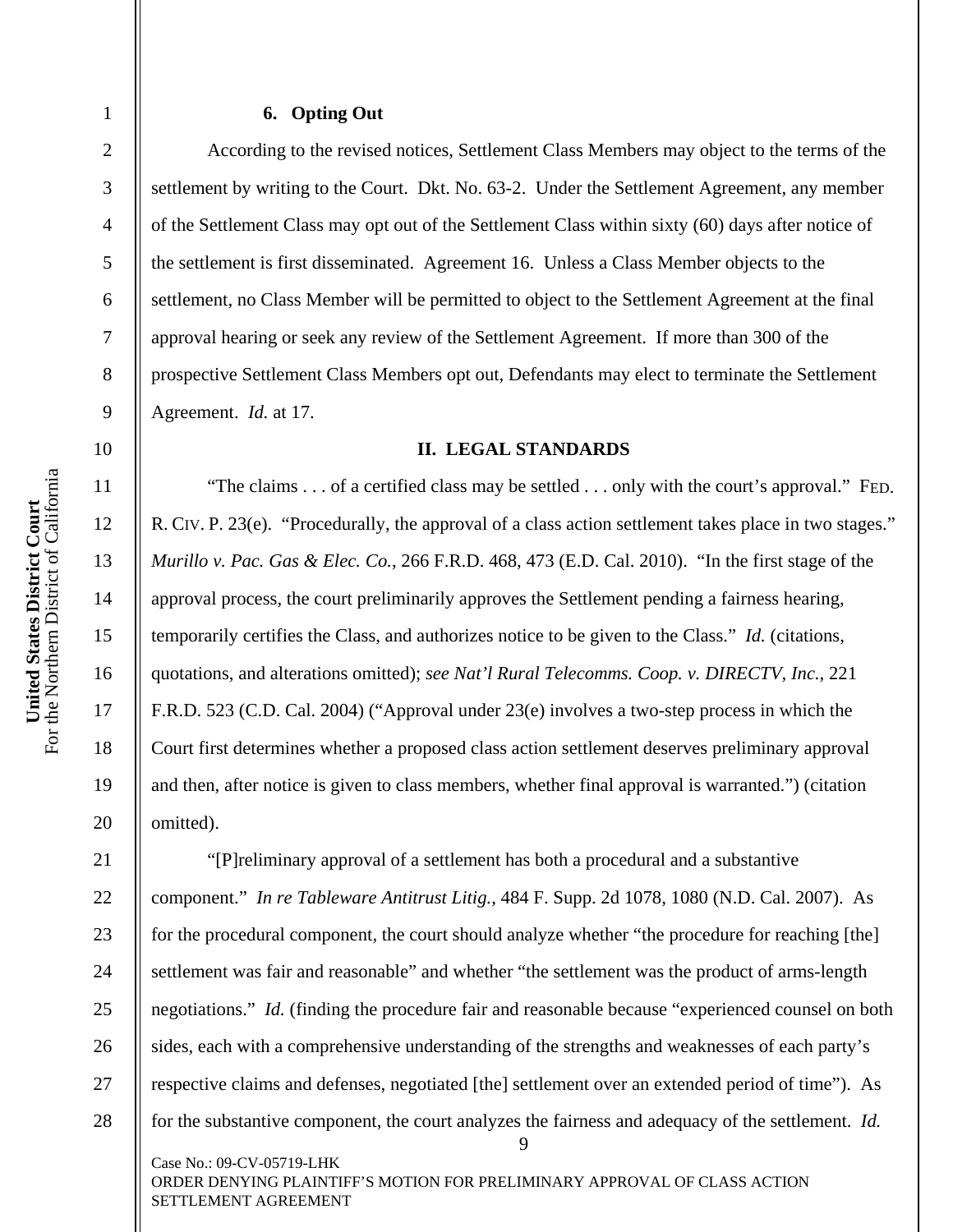# United States District Court<br>For the Northern District of California For the Northern District of California **United States District Court**

1

2

3

4

5

6

7

8

9

10

11

12

13

14

15

16

17

18

19

20

21

22

27

28

# **6. Opting Out**

According to the revised notices, Settlement Class Members may object to the terms of the settlement by writing to the Court. Dkt. No. 63-2. Under the Settlement Agreement, any member of the Settlement Class may opt out of the Settlement Class within sixty (60) days after notice of the settlement is first disseminated. Agreement 16. Unless a Class Member objects to the settlement, no Class Member will be permitted to object to the Settlement Agreement at the final approval hearing or seek any review of the Settlement Agreement. If more than 300 of the prospective Settlement Class Members opt out, Defendants may elect to terminate the Settlement Agreement. *Id.* at 17.

## **II. LEGAL STANDARDS**

"The claims . . . of a certified class may be settled . . . only with the court's approval." FED. R. CIV. P. 23(e). "Procedurally, the approval of a class action settlement takes place in two stages." *Murillo v. Pac. Gas & Elec. Co.*, 266 F.R.D. 468, 473 (E.D. Cal. 2010). "In the first stage of the approval process, the court preliminarily approves the Settlement pending a fairness hearing, temporarily certifies the Class, and authorizes notice to be given to the Class." *Id.* (citations, quotations, and alterations omitted); *see Nat'l Rural Telecomms. Coop. v. DIRECTV, Inc.*, 221 F.R.D. 523 (C.D. Cal. 2004) ("Approval under 23(e) involves a two-step process in which the Court first determines whether a proposed class action settlement deserves preliminary approval and then, after notice is given to class members, whether final approval is warranted.") (citation omitted).

9 Case No.: 09-CV-05719-LHK 23 24 25 26 "[P]reliminary approval of a settlement has both a procedural and a substantive component." *In re Tableware Antitrust Litig.*, 484 F. Supp. 2d 1078, 1080 (N.D. Cal. 2007). As for the procedural component, the court should analyze whether "the procedure for reaching [the] settlement was fair and reasonable" and whether "the settlement was the product of arms-length negotiations." *Id.* (finding the procedure fair and reasonable because "experienced counsel on both sides, each with a comprehensive understanding of the strengths and weaknesses of each party's respective claims and defenses, negotiated [the] settlement over an extended period of time"). As for the substantive component, the court analyzes the fairness and adequacy of the settlement. *Id.*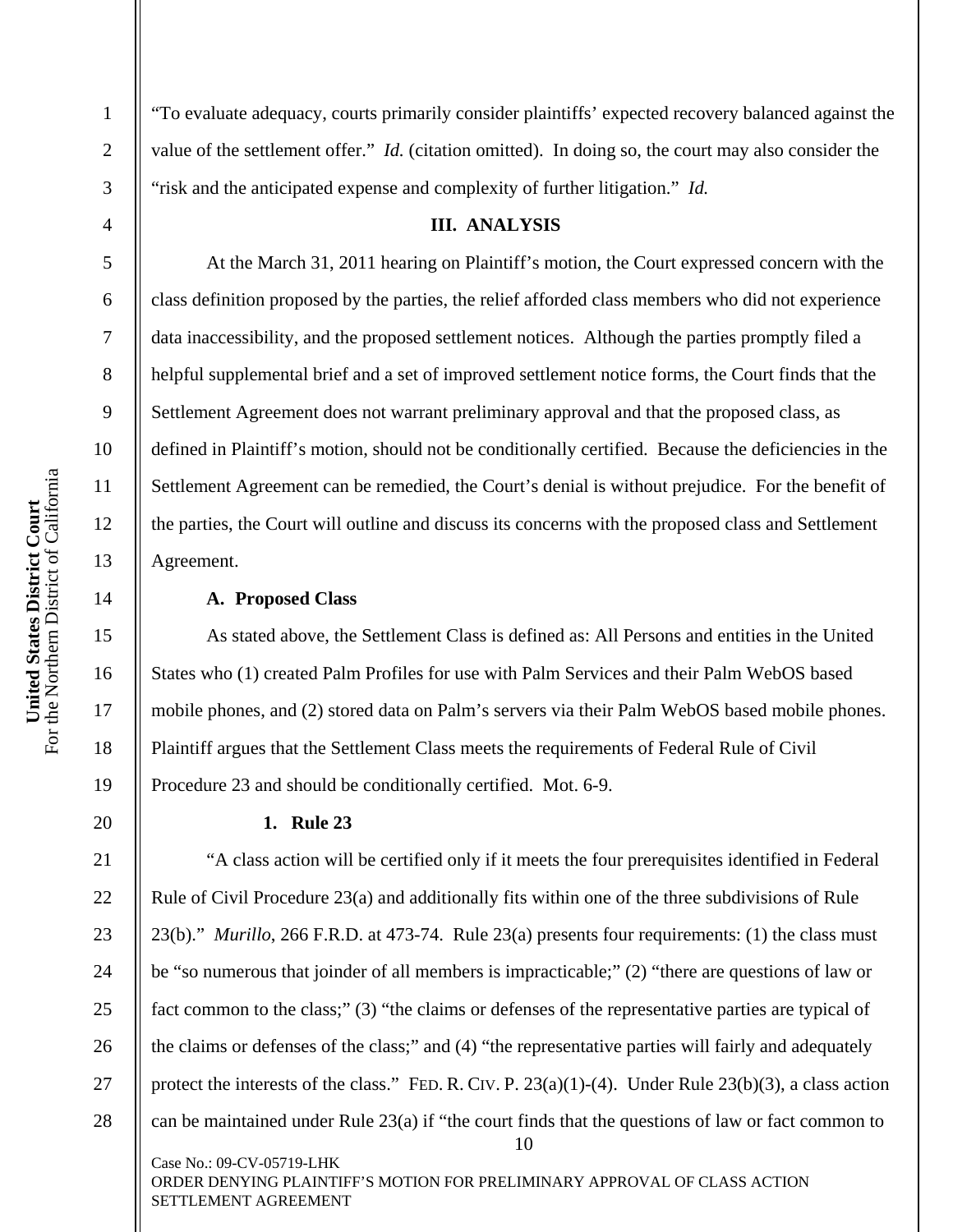2

3

4

5

6

7

8

9

10

11

12

13

14

15

16

17

18

19

20

21

"To evaluate adequacy, courts primarily consider plaintiffs' expected recovery balanced against the value of the settlement offer." *Id.* (citation omitted). In doing so, the court may also consider the "risk and the anticipated expense and complexity of further litigation." *Id.*

## **III. ANALYSIS**

 At the March 31, 2011 hearing on Plaintiff's motion, the Court expressed concern with the class definition proposed by the parties, the relief afforded class members who did not experience data inaccessibility, and the proposed settlement notices. Although the parties promptly filed a helpful supplemental brief and a set of improved settlement notice forms, the Court finds that the Settlement Agreement does not warrant preliminary approval and that the proposed class, as defined in Plaintiff's motion, should not be conditionally certified. Because the deficiencies in the Settlement Agreement can be remedied, the Court's denial is without prejudice. For the benefit of the parties, the Court will outline and discuss its concerns with the proposed class and Settlement Agreement.

# **A. Proposed Class**

 As stated above, the Settlement Class is defined as: All Persons and entities in the United States who (1) created Palm Profiles for use with Palm Services and their Palm WebOS based mobile phones, and (2) stored data on Palm's servers via their Palm WebOS based mobile phones. Plaintiff argues that the Settlement Class meets the requirements of Federal Rule of Civil Procedure 23 and should be conditionally certified. Mot. 6-9.

# **1. Rule 23**

10 Case No.: 09-CV-05719-LHK ORDER DENYING PLAINTIFF'S MOTION FOR PRELIMINARY APPROVAL OF CLASS ACTION 22 23 24 25 26 27 28 "A class action will be certified only if it meets the four prerequisites identified in Federal Rule of Civil Procedure 23(a) and additionally fits within one of the three subdivisions of Rule 23(b)." *Murillo*, 266 F.R.D. at 473-74. Rule 23(a) presents four requirements: (1) the class must be "so numerous that joinder of all members is impracticable;" (2) "there are questions of law or fact common to the class;" (3) "the claims or defenses of the representative parties are typical of the claims or defenses of the class;" and (4) "the representative parties will fairly and adequately protect the interests of the class." FED. R. CIV. P. 23(a)(1)-(4). Under Rule 23(b)(3), a class action can be maintained under Rule 23(a) if "the court finds that the questions of law or fact common to

SETTLEMENT AGREEMENT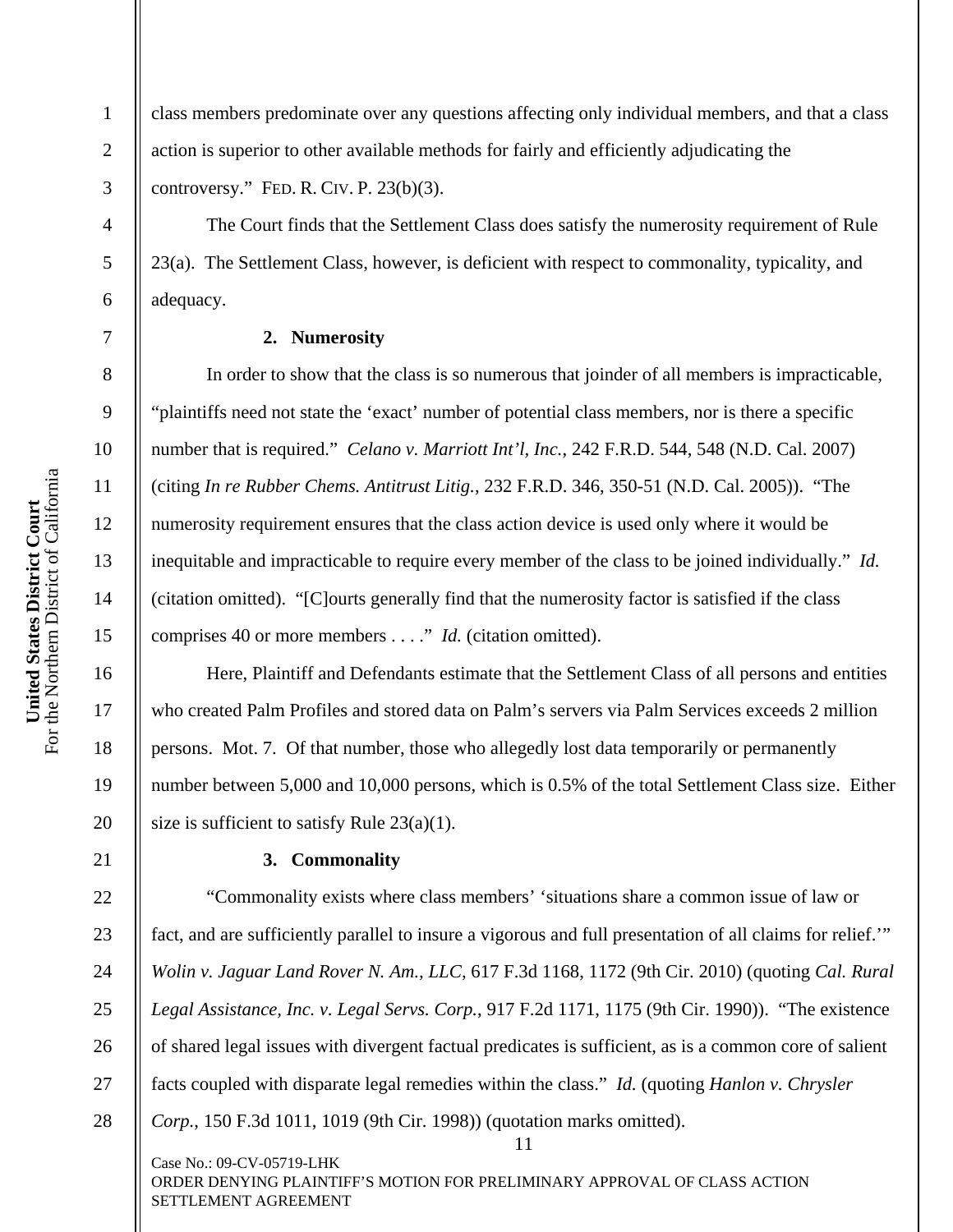4

5

6

7

8

9

10

11

12

13

14

15

16

17

18

19

20

21

1 2 3 class members predominate over any questions affecting only individual members, and that a class action is superior to other available methods for fairly and efficiently adjudicating the controversy." FED. R. CIV. P.  $23(b)(3)$ .

 The Court finds that the Settlement Class does satisfy the numerosity requirement of Rule 23(a). The Settlement Class, however, is deficient with respect to commonality, typicality, and adequacy.

# **2. Numerosity**

 In order to show that the class is so numerous that joinder of all members is impracticable, "plaintiffs need not state the 'exact' number of potential class members, nor is there a specific number that is required." *Celano v. Marriott Int'l, Inc.*, 242 F.R.D. 544, 548 (N.D. Cal. 2007) (citing *In re Rubber Chems. Antitrust Litig.*, 232 F.R.D. 346, 350-51 (N.D. Cal. 2005)). "The numerosity requirement ensures that the class action device is used only where it would be inequitable and impracticable to require every member of the class to be joined individually." *Id.* (citation omitted). "[C]ourts generally find that the numerosity factor is satisfied if the class comprises 40 or more members . . . ." *Id.* (citation omitted).

 Here, Plaintiff and Defendants estimate that the Settlement Class of all persons and entities who created Palm Profiles and stored data on Palm's servers via Palm Services exceeds 2 million persons. Mot. 7. Of that number, those who allegedly lost data temporarily or permanently number between 5,000 and 10,000 persons, which is 0.5% of the total Settlement Class size. Either size is sufficient to satisfy Rule 23(a)(1).

# **3. Commonality**

11 22 23 24 25 26 27 28 "Commonality exists where class members' 'situations share a common issue of law or fact, and are sufficiently parallel to insure a vigorous and full presentation of all claims for relief.'" *Wolin v. Jaguar Land Rover N. Am., LLC*, 617 F.3d 1168, 1172 (9th Cir. 2010) (quoting *Cal. Rural Legal Assistance, Inc. v. Legal Servs. Corp.*, 917 F.2d 1171, 1175 (9th Cir. 1990)). "The existence of shared legal issues with divergent factual predicates is sufficient, as is a common core of salient facts coupled with disparate legal remedies within the class." *Id.* (quoting *Hanlon v. Chrysler Corp.*, 150 F.3d 1011, 1019 (9th Cir. 1998)) (quotation marks omitted).

Case No.: 09-CV-05719-LHK ORDER DENYING PLAINTIFF'S MOTION FOR PRELIMINARY APPROVAL OF CLASS ACTION SETTLEMENT AGREEMENT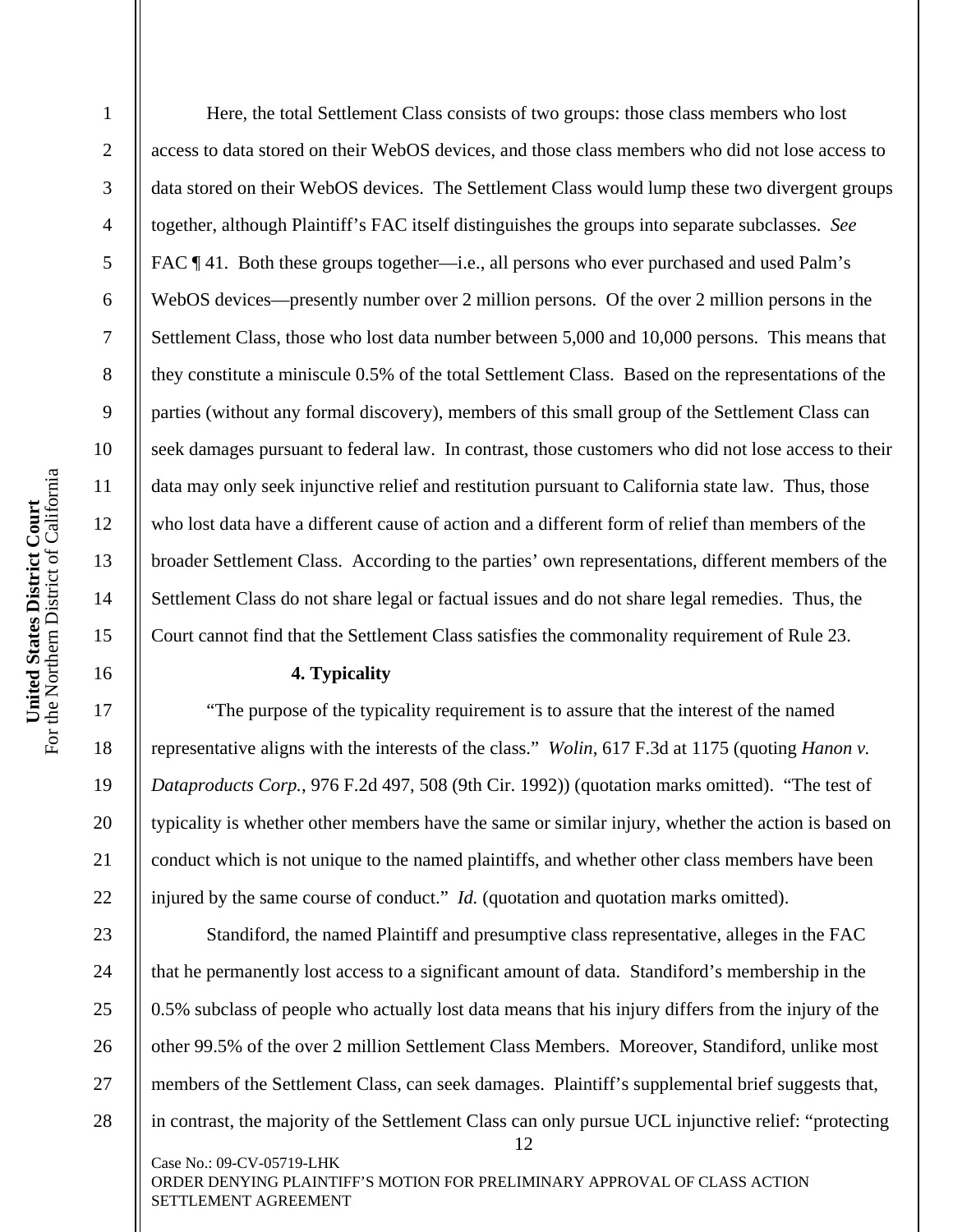2

3

4

5

6

7

8

9

10

11

12

13

14

15

16

17

18

19

20

21

22

 Here, the total Settlement Class consists of two groups: those class members who lost access to data stored on their WebOS devices, and those class members who did not lose access to data stored on their WebOS devices. The Settlement Class would lump these two divergent groups together, although Plaintiff's FAC itself distinguishes the groups into separate subclasses. *See*  FAC  $\P$  41. Both these groups together—i.e., all persons who ever purchased and used Palm's WebOS devices—presently number over 2 million persons. Of the over 2 million persons in the Settlement Class, those who lost data number between 5,000 and 10,000 persons. This means that they constitute a miniscule 0.5% of the total Settlement Class. Based on the representations of the parties (without any formal discovery), members of this small group of the Settlement Class can seek damages pursuant to federal law. In contrast, those customers who did not lose access to their data may only seek injunctive relief and restitution pursuant to California state law. Thus, those who lost data have a different cause of action and a different form of relief than members of the broader Settlement Class. According to the parties' own representations, different members of the Settlement Class do not share legal or factual issues and do not share legal remedies. Thus, the Court cannot find that the Settlement Class satisfies the commonality requirement of Rule 23.

# **4. Typicality**

 "The purpose of the typicality requirement is to assure that the interest of the named representative aligns with the interests of the class." *Wolin*, 617 F.3d at 1175 (quoting *Hanon v. Dataproducts Corp.*, 976 F.2d 497, 508 (9th Cir. 1992)) (quotation marks omitted). "The test of typicality is whether other members have the same or similar injury, whether the action is based on conduct which is not unique to the named plaintiffs, and whether other class members have been injured by the same course of conduct." *Id.* (quotation and quotation marks omitted).

12 Case No.: 09-CV-05719-LHK 23 24 25 26 27 28 Standiford, the named Plaintiff and presumptive class representative, alleges in the FAC that he permanently lost access to a significant amount of data. Standiford's membership in the 0.5% subclass of people who actually lost data means that his injury differs from the injury of the other 99.5% of the over 2 million Settlement Class Members. Moreover, Standiford, unlike most members of the Settlement Class, can seek damages. Plaintiff's supplemental brief suggests that, in contrast, the majority of the Settlement Class can only pursue UCL injunctive relief: "protecting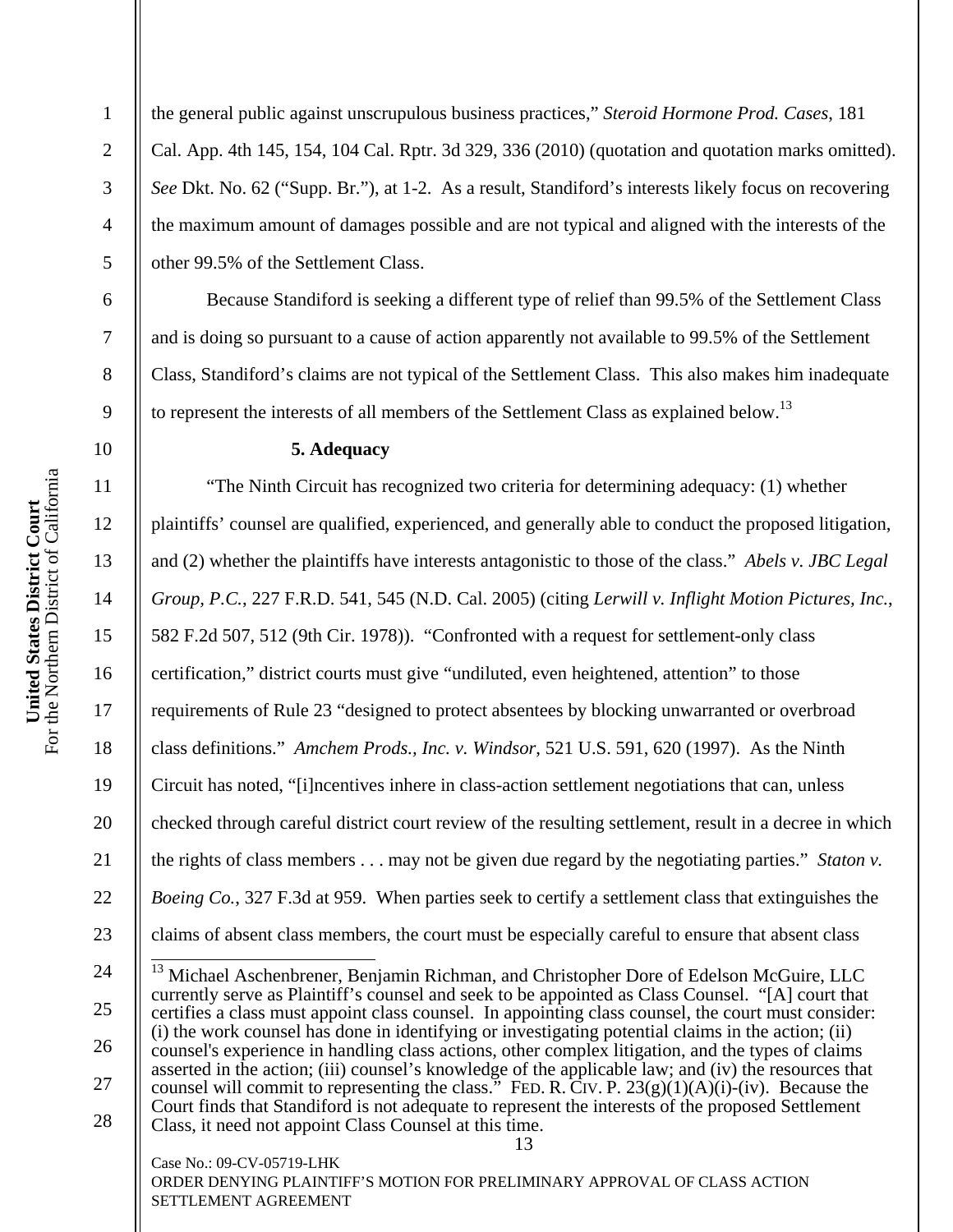2

3

4

5

6

7

8

9

10

11

12

13

14

15

16

17

18

19

20

21

22

23

the general public against unscrupulous business practices," *Steroid Hormone Prod. Cases*, 181 Cal. App. 4th 145, 154, 104 Cal. Rptr. 3d 329, 336 (2010) (quotation and quotation marks omitted). *See* Dkt. No. 62 ("Supp. Br."), at 1-2. As a result, Standiford's interests likely focus on recovering the maximum amount of damages possible and are not typical and aligned with the interests of the other 99.5% of the Settlement Class.

 Because Standiford is seeking a different type of relief than 99.5% of the Settlement Class and is doing so pursuant to a cause of action apparently not available to 99.5% of the Settlement Class, Standiford's claims are not typical of the Settlement Class. This also makes him inadequate to represent the interests of all members of the Settlement Class as explained below.<sup>13</sup>

### **5. Adequacy**

 "The Ninth Circuit has recognized two criteria for determining adequacy: (1) whether plaintiffs' counsel are qualified, experienced, and generally able to conduct the proposed litigation, and (2) whether the plaintiffs have interests antagonistic to those of the class." *Abels v. JBC Legal Group, P.C.*, 227 F.R.D. 541, 545 (N.D. Cal. 2005) (citing *Lerwill v. Inflight Motion Pictures, Inc.*, 582 F.2d 507, 512 (9th Cir. 1978)). "Confronted with a request for settlement-only class certification," district courts must give "undiluted, even heightened, attention" to those requirements of Rule 23 "designed to protect absentees by blocking unwarranted or overbroad class definitions." *Amchem Prods., Inc. v. Windsor*, 521 U.S. 591, 620 (1997). As the Ninth Circuit has noted, "[i]ncentives inhere in class-action settlement negotiations that can, unless checked through careful district court review of the resulting settlement, result in a decree in which the rights of class members . . . may not be given due regard by the negotiating parties." *Staton v. Boeing Co.*, 327 F.3d at 959. When parties seek to certify a settlement class that extinguishes the claims of absent class members, the court must be especially careful to ensure that absent class

Case No.: 09-CV-05719-LHK

<sup>13</sup>  24 25 26 27 28  $\overline{\phantom{a}}$  $13$  Michael Aschenbrener, Benjamin Richman, and Christopher Dore of Edelson McGuire, LLC currently serve as Plaintiff's counsel and seek to be appointed as Class Counsel. "[A] court that certifies a class must appoint class counsel. In appointing class counsel, the court must consider: (i) the work counsel has done in identifying or investigating potential claims in the action; (ii) counsel's experience in handling class actions, other complex litigation, and the types of claims asserted in the action; (iii) counsel's knowledge of the applicable law; and (iv) the resources that counsel will commit to representing the class." FED. R. CIV. P.  $23(g)(1)(A)(i)$ -(iv). Because the Court finds that Standiford is not adequate to represent the interests of the proposed Settlement Class, it need not appoint Class Counsel at this time.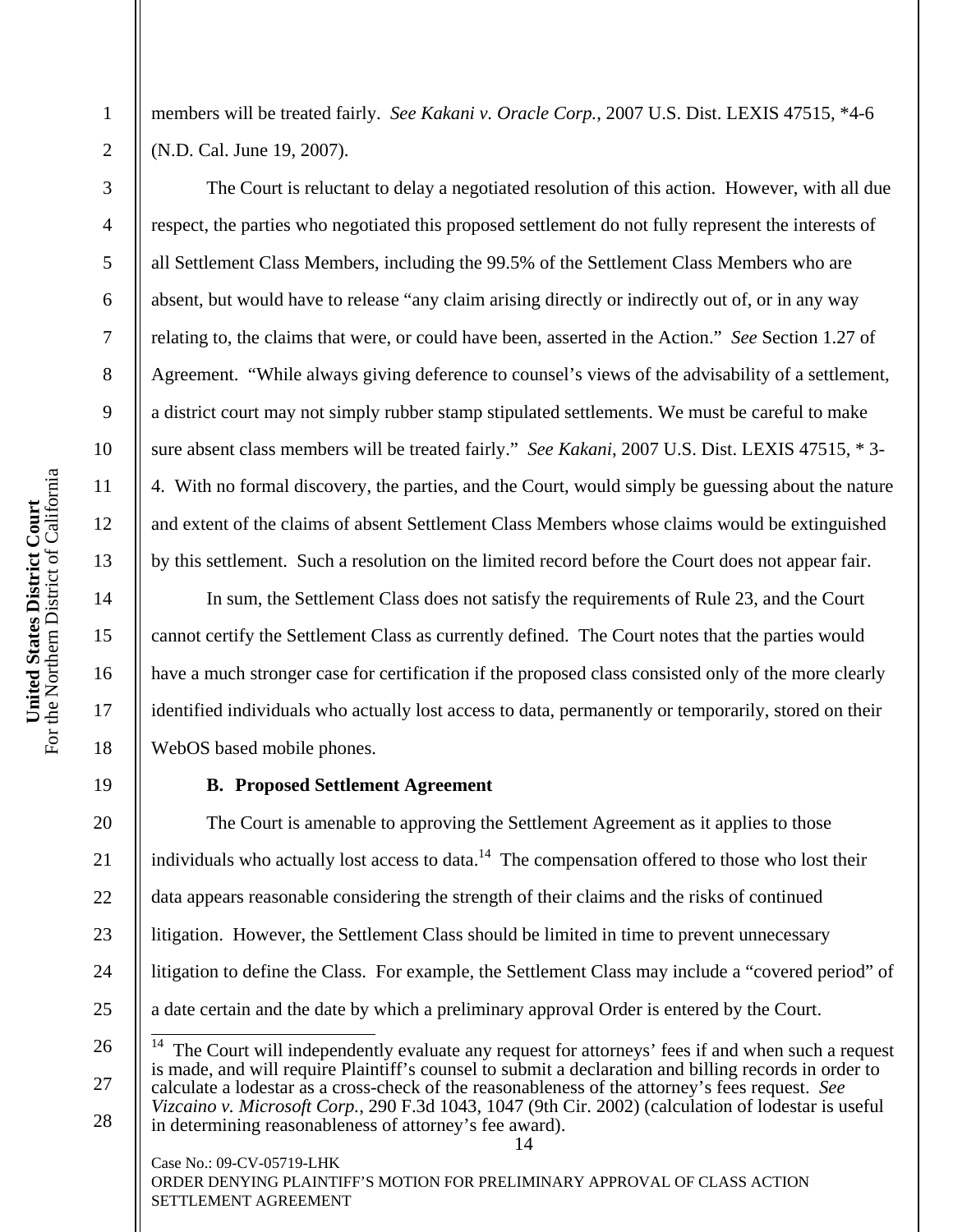2

3

4

5

6

7

8

9

10

11

12

13

14

15

16

17

18

19

26

27

28

members will be treated fairly. *See Kakani v. Oracle Corp.*, 2007 U.S. Dist. LEXIS 47515, \*4-6 (N.D. Cal. June 19, 2007).

 The Court is reluctant to delay a negotiated resolution of this action. However, with all due respect, the parties who negotiated this proposed settlement do not fully represent the interests of all Settlement Class Members, including the 99.5% of the Settlement Class Members who are absent, but would have to release "any claim arising directly or indirectly out of, or in any way relating to, the claims that were, or could have been, asserted in the Action." *See* Section 1.27 of Agreement. "While always giving deference to counsel's views of the advisability of a settlement, a district court may not simply rubber stamp stipulated settlements. We must be careful to make sure absent class members will be treated fairly." *See Kakani*, 2007 U.S. Dist. LEXIS 47515, \* 3- 4. With no formal discovery, the parties, and the Court, would simply be guessing about the nature and extent of the claims of absent Settlement Class Members whose claims would be extinguished by this settlement. Such a resolution on the limited record before the Court does not appear fair.

 In sum, the Settlement Class does not satisfy the requirements of Rule 23, and the Court cannot certify the Settlement Class as currently defined. The Court notes that the parties would have a much stronger case for certification if the proposed class consisted only of the more clearly identified individuals who actually lost access to data, permanently or temporarily, stored on their WebOS based mobile phones.

## **B. Proposed Settlement Agreement**

20 21 22 23 24 25 The Court is amenable to approving the Settlement Agreement as it applies to those individuals who actually lost access to data.<sup>14</sup> The compensation offered to those who lost their data appears reasonable considering the strength of their claims and the risks of continued litigation. However, the Settlement Class should be limited in time to prevent unnecessary litigation to define the Class. For example, the Settlement Class may include a "covered period" of a date certain and the date by which a preliminary approval Order is entered by the Court.

14  $14$ The Court will independently evaluate any request for attorneys' fees if and when such a request is made, and will require Plaintiff's counsel to submit a declaration and billing records in order to calculate a lodestar as a cross-check of the reasonableness of the attorney's fees request. *See Vizcaino v. Microsoft Corp.*, 290 F.3d 1043, 1047 (9th Cir. 2002) (calculation of lodestar is useful in determining reasonableness of attorney's fee award).

Case No.: 09-CV-05719-LHK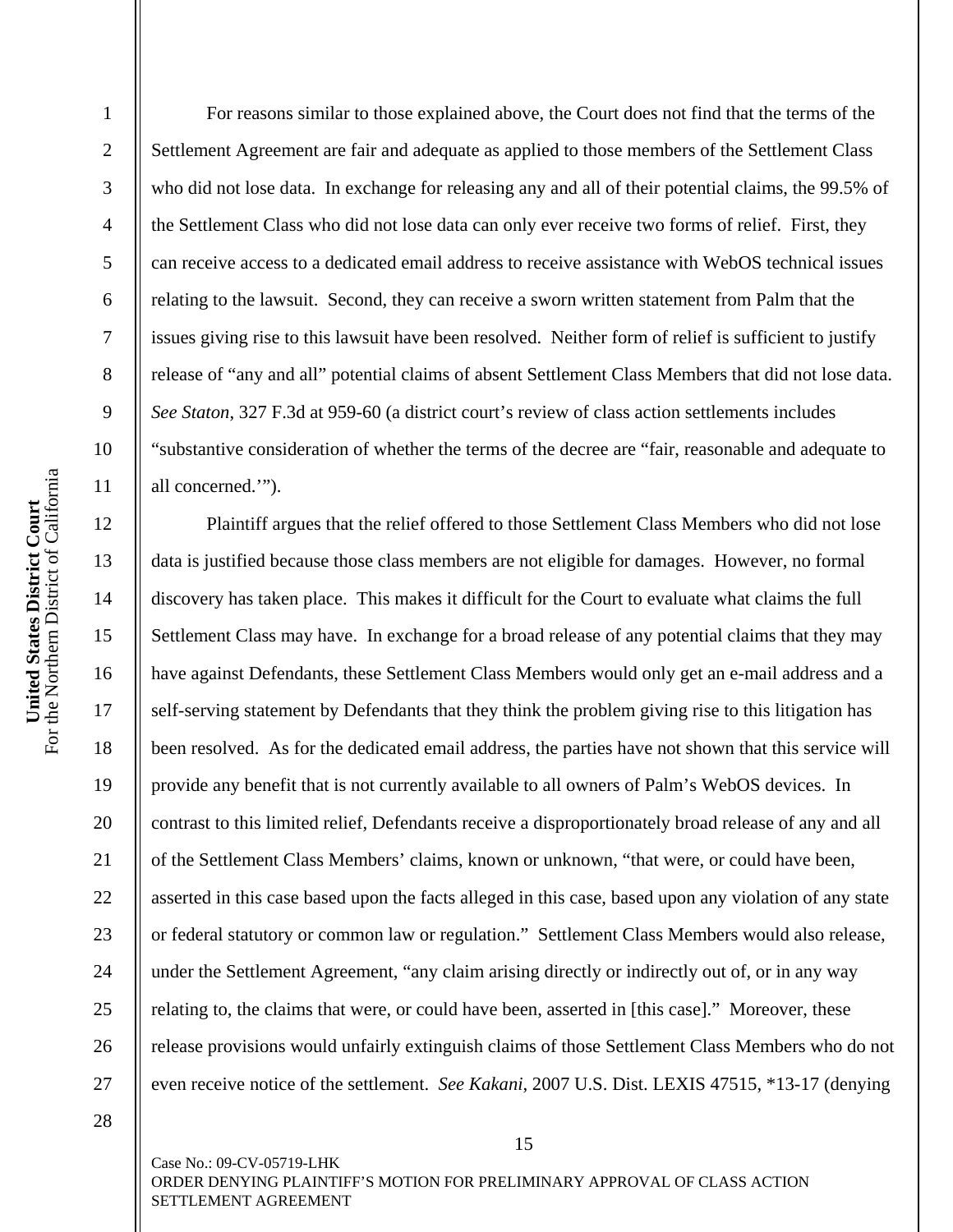For reasons similar to those explained above, the Court does not find that the terms of the Settlement Agreement are fair and adequate as applied to those members of the Settlement Class who did not lose data. In exchange for releasing any and all of their potential claims, the 99.5% of the Settlement Class who did not lose data can only ever receive two forms of relief. First, they can receive access to a dedicated email address to receive assistance with WebOS technical issues relating to the lawsuit. Second, they can receive a sworn written statement from Palm that the issues giving rise to this lawsuit have been resolved. Neither form of relief is sufficient to justify release of "any and all" potential claims of absent Settlement Class Members that did not lose data. *See Staton*, 327 F.3d at 959-60 (a district court's review of class action settlements includes "substantive consideration of whether the terms of the decree are "fair, reasonable and adequate to all concerned.'").

 Plaintiff argues that the relief offered to those Settlement Class Members who did not lose data is justified because those class members are not eligible for damages. However, no formal discovery has taken place. This makes it difficult for the Court to evaluate what claims the full Settlement Class may have. In exchange for a broad release of any potential claims that they may have against Defendants, these Settlement Class Members would only get an e-mail address and a self-serving statement by Defendants that they think the problem giving rise to this litigation has been resolved. As for the dedicated email address, the parties have not shown that this service will provide any benefit that is not currently available to all owners of Palm's WebOS devices. In contrast to this limited relief, Defendants receive a disproportionately broad release of any and all of the Settlement Class Members' claims, known or unknown, "that were, or could have been, asserted in this case based upon the facts alleged in this case, based upon any violation of any state or federal statutory or common law or regulation." Settlement Class Members would also release, under the Settlement Agreement, "any claim arising directly or indirectly out of, or in any way relating to, the claims that were, or could have been, asserted in [this case]." Moreover, these release provisions would unfairly extinguish claims of those Settlement Class Members who do not even receive notice of the settlement. *See Kakani*, 2007 U.S. Dist. LEXIS 47515, \*13-17 (denying

15

1

2

3

4

5

6

7

8

9

10

11

12

13

14

15

16

17

18

19

20

21

22

23

24

25

26